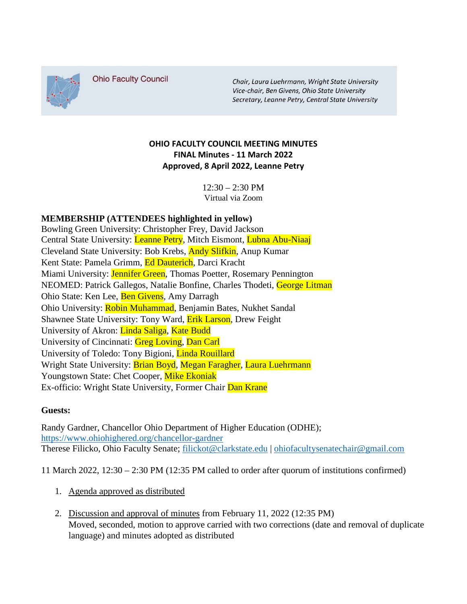

**Ohio Faculty Council** 

Chair, Laura Luehrmann, Wright State University Vice-chair, Ben Givens, Ohio State University Secretary, Leanne Petry, Central State University

## **OHIO FACULTY COUNCIL MEETING MINUTES FINAL Minutes - 11 March 2022 Approved, 8 April 2022, Leanne Petry**

 $12:30 - 2:30$  PM Virtual via Zoom

## **MEMBERSHIP (ATTENDEES highlighted in yellow)**

Bowling Green University: Christopher Frey, David Jackson Central State University: Leanne Petry, Mitch Eismont, Lubna Abu-Niaaj Cleveland State University: Bob Krebs, Andy Slifkin, Anup Kumar Kent State: Pamela Grimm, Ed Dauterich, Darci Kracht Miami University: **Jennifer Green**, Thomas Poetter, Rosemary Pennington NEOMED: Patrick Gallegos, Natalie Bonfine, Charles Thodeti, George Litman Ohio State: Ken Lee, Ben Givens, Amy Darragh Ohio University: Robin Muhammad, Benjamin Bates, Nukhet Sandal Shawnee State University: Tony Ward, Erik Larson, Drew Feight University of Akron: Linda Saliga, Kate Budd University of Cincinnati: Greg Loving, Dan Carl University of Toledo: Tony Bigioni, Linda Rouillard Wright State University: Brian Boyd, Megan Faragher, Laura Luehrmann Youngstown State: Chet Cooper, Mike Ekoniak Ex-officio: Wright State University, Former Chair Dan Krane

## **Guests:**

Randy Gardner, Chancellor Ohio Department of Higher Education (ODHE); <https://www.ohiohighered.org/chancellor-gardner> Therese Filicko, Ohio Faculty Senate; [filickot@clarkstate.edu](mailto:filickot@clarkstate.edu) | [ohiofacultysenatechair@gmail.com](mailto:ohiofacultysenatechair@gmail.com)

11 March 2022, 12:30 – 2:30 PM (12:35 PM called to order after quorum of institutions confirmed)

- 1. Agenda approved as distributed
- 2. Discussion and approval of minutes from February 11, 2022 (12:35 PM) Moved, seconded, motion to approve carried with two corrections (date and removal of duplicate language) and minutes adopted as distributed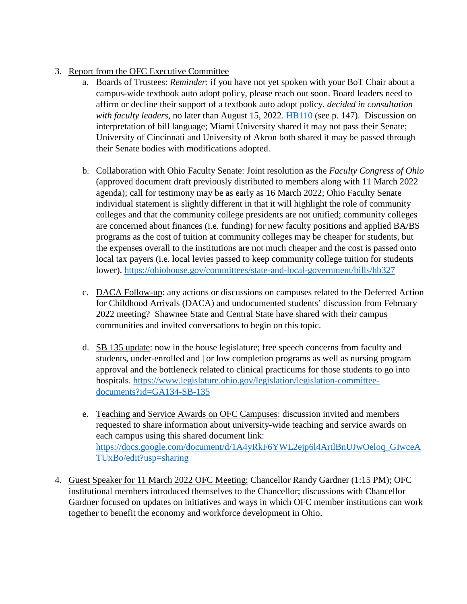- 3. Report from the OFC Executive Committee
	- a. Boards of Trustees: *Reminder*: if you have not yet spoken with your BoT Chair about a campus-wide textbook auto adopt policy, please reach out soon. Board leaders need to affirm or decline their support of a textbook auto adopt policy, *decided in consultation with faculty leaders*, no later than August 15, 2022. HB110 (see p. 147). Discussion on interpretation of bill language; Miami University shared it may not pass their Senate; University of Cincinnati and University of Akron both shared it may be passed through their Senate bodies with modifications adopted.
	- b. Collaboration with Ohio Faculty Senate: Joint resolution as the *Faculty Congress of Ohio*  (approved document draft previously distributed to members along with 11 March 2022 agenda); call for testimony may be as early as 16 March 2022; Ohio Faculty Senate individual statement is slightly different in that it will highlight the role of community colleges and that the community college presidents are not unified; community colleges are concerned about finances (i.e. funding) for new faculty positions and applied BA/BS programs as the cost of tuition at community colleges may be cheaper for students, but the expenses overall to the institutions are not much cheaper and the cost is passed onto local tax payers (i.e. local levies passed to keep community college tuition for students lower).<https://ohiohouse.gov/committees/state-and-local-government/bills/hb327>
	- c. DACA Follow-up: any actions or discussions on campuses related to the Deferred Action for Childhood Arrivals (DACA) and undocumented students' discussion from February 2022 meeting? Shawnee State and Central State have shared with their campus communities and invited conversations to begin on this topic.
	- d. SB 135 update: now in the house legislature; free speech concerns from faculty and students, under-enrolled and | or low completion programs as well as nursing program approval and the bottleneck related to clinical practicums for those students to go into hospitals. [https://www.legislature.ohio.gov/legislation/legislation-committee](https://www.legislature.ohio.gov/legislation/legislation-committee-documents?id=GA134-SB-135)[documents?id=GA134-SB-135](https://www.legislature.ohio.gov/legislation/legislation-committee-documents?id=GA134-SB-135)
	- e. Teaching and Service Awards on OFC Campuses: discussion invited and members requested to share information about university-wide teaching and service awards on each campus using this shared document link: [https://docs.google.com/document/d/1A4yRkF6YWL2ejp6l4ArtlBnUJwOeloq\\_GIwceA](https://docs.google.com/document/d/1A4yRkF6YWL2ejp6l4ArtlBnUJwOeloq_GIwceATUxBo/edit?usp=sharing) [TUxBo/edit?usp=sharing](https://docs.google.com/document/d/1A4yRkF6YWL2ejp6l4ArtlBnUJwOeloq_GIwceATUxBo/edit?usp=sharing)
- 4. Guest Speaker for 11 March 2022 OFC Meeting: Chancellor Randy Gardner (1:15 PM); OFC institutional members introduced themselves to the Chancellor; discussions with Chancellor Gardner focused on updates on initiatives and ways in which OFC member institutions can work together to benefit the economy and workforce development in Ohio.